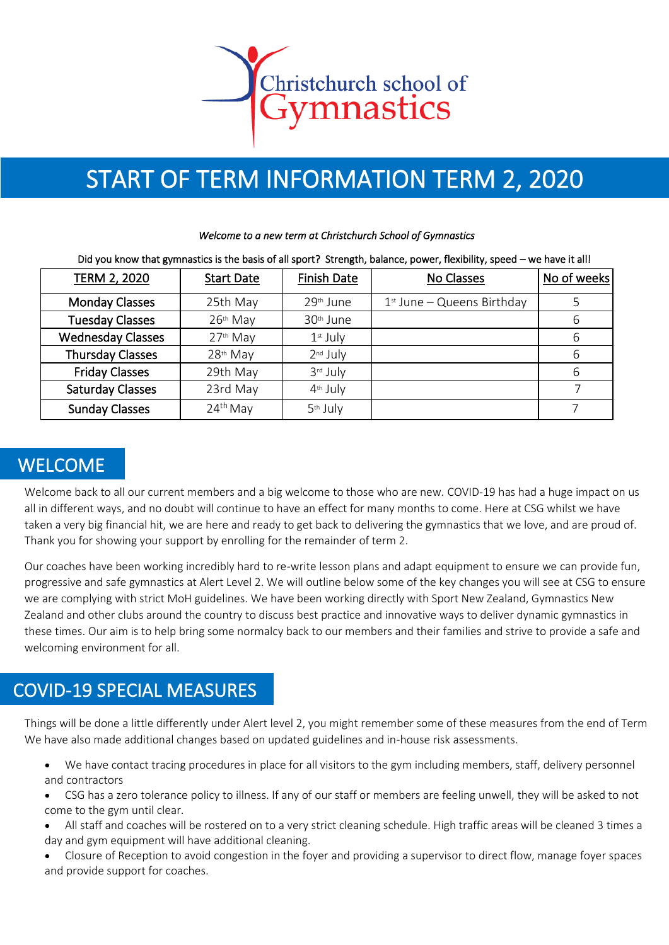

# START OF TERM INFORMATION TERM 2, 2020

#### *Welcome to a new term at Christchurch School of Gymnastics*

#### Did you know that gymnastics is the basis of all sport? Strength, balance, power, flexibility, speed – we have it all!

| TERM 2, 2020             | <b>Start Date</b>    | <b>Finish Date</b>    | No Classes                   | No of weeks |
|--------------------------|----------------------|-----------------------|------------------------------|-------------|
| <b>Monday Classes</b>    | 25th May             | 29th June             | $1st$ June – Queens Birthday | 5           |
| <b>Tuesday Classes</b>   | 26th May             | 30 <sup>th</sup> June |                              | 6           |
| <b>Wednesday Classes</b> | 27th May             | $1st$ July            |                              | 6           |
| <b>Thursday Classes</b>  | 28 <sup>th</sup> May | 2 <sup>nd</sup> July  |                              | 6           |
| <b>Friday Classes</b>    | 29th May             | 3rd July              |                              | 6           |
| <b>Saturday Classes</b>  | 23rd May             | 4 <sup>th</sup> July  |                              |             |
| <b>Sunday Classes</b>    | $24th$ May           | 5 <sup>th</sup> July  |                              |             |

#### WELCOME

Welcome back to all our current members and a big welcome to those who are new. COVID-19 has had a huge impact on us all in different ways, and no doubt will continue to have an effect for many months to come. Here at CSG whilst we have taken a very big financial hit, we are here and ready to get back to delivering the gymnastics that we love, and are proud of. Thank you for showing your support by enrolling for the remainder of term 2.

Our coaches have been working incredibly hard to re-write lesson plans and adapt equipment to ensure we can provide fun, progressive and safe gymnastics at Alert Level 2. We will outline below some of the key changes you will see at CSG to ensure we are complying with strict MoH guidelines. We have been working directly with Sport New Zealand, Gymnastics New Zealand and other clubs around the country to discuss best practice and innovative ways to deliver dynamic gymnastics in these times. Our aim is to help bring some normalcy back to our members and their families and strive to provide a safe and welcoming environment for all.

# COVID-19 SPECIAL MEASURES

Things will be done a little differently under Alert level 2, you might remember some of these measures from the end of Term We have also made additional changes based on updated guidelines and in-house risk assessments.

- We have contact tracing procedures in place for all visitors to the gym including members, staff, delivery personnel and contractors
- CSG has a zero tolerance policy to illness. If any of our staff or members are feeling unwell, they will be asked to not come to the gym until clear.
- All staff and coaches will be rostered on to a very strict cleaning schedule. High traffic areas will be cleaned 3 times a day and gym equipment will have additional cleaning.
- Closure of Reception to avoid congestion in the foyer and providing a supervisor to direct flow, manage foyer spaces and provide support for coaches.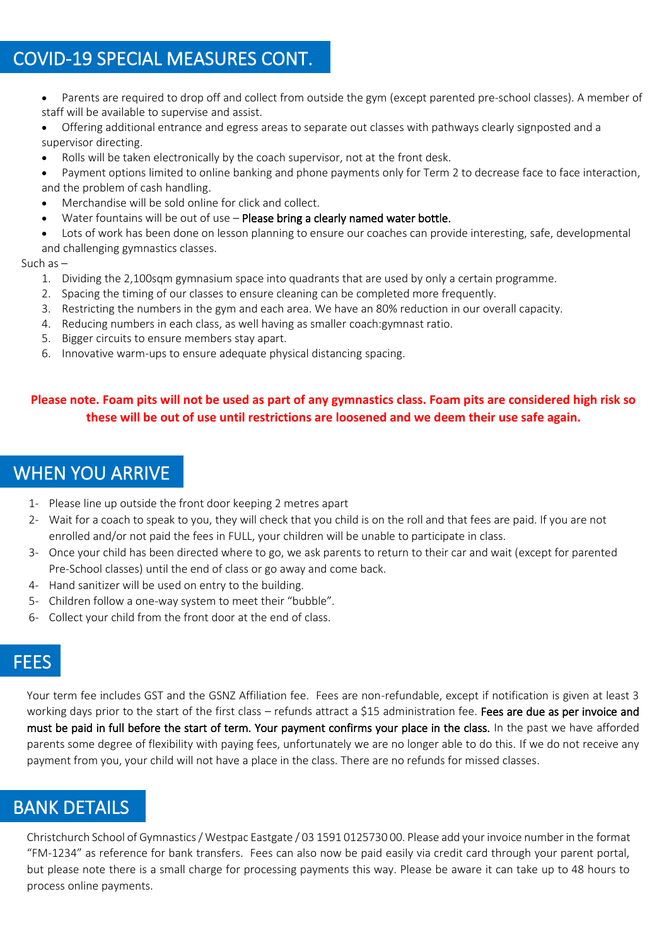# COVID-19 SPECIAL MEASURES CONT.

- Parents are required to drop off and collect from outside the gym (except parented pre-school classes). A member of staff will be available to supervise and assist.
- Offering additional entrance and egress areas to separate out classes with pathways clearly signposted and a supervisor directing.
- Rolls will be taken electronically by the coach supervisor, not at the front desk.
- Payment options limited to online banking and phone payments only for Term 2 to decrease face to face interaction, and the problem of cash handling.
- Merchandise will be sold online for click and collect.
- Water fountains will be out of use Please bring a clearly named water bottle.
- Lots of work has been done on lesson planning to ensure our coaches can provide interesting, safe, developmental
- and challenging gymnastics classes.

#### Such as –

- 1. Dividing the 2,100sqm gymnasium space into quadrants that are used by only a certain programme.
- 2. Spacing the timing of our classes to ensure cleaning can be completed more frequently.
- 3. Restricting the numbers in the gym and each area. We have an 80% reduction in our overall capacity.
- 4. Reducing numbers in each class, as well having as smaller coach:gymnast ratio.
- 5. Bigger circuits to ensure members stay apart.
- 6. Innovative warm-ups to ensure adequate physical distancing spacing.

#### **Please note. Foam pits will not be used as part of any gymnastics class. Foam pits are considered high risk so these will be out of use until restrictions are loosened and we deem their use safe again.**

### WHEN YOU ARRIVE

- 1- Please line up outside the front door keeping 2 metres apart
- 2- Wait for a coach to speak to you, they will check that you child is on the roll and that fees are paid. If you are not enrolled and/or not paid the fees in FULL, your children will be unable to participate in class.
- 3- Once your child has been directed where to go, we ask parents to return to their car and wait (except for parented Pre-School classes) until the end of class or go away and come back.
- 4- Hand sanitizer will be used on entry to the building.
- 5- Children follow a one-way system to meet their "bubble".
- 6- Collect your child from the front door at the end of class.

# FEES

Your term fee includes GST and the GSNZ Affiliation fee. Fees are non-refundable, except if notification is given at least 3 working days prior to the start of the first class – refunds attract a \$15 administration fee. Fees are due as per invoice and must be paid in full before the start of term. Your payment confirms your place in the class. In the past we have afforded parents some degree of flexibility with paying fees, unfortunately we are no longer able to do this. If we do not receive any payment from you, your child will not have a place in the class. There are no refunds for missed classes.

# BANK DETAILS

Christchurch School of Gymnastics / Westpac Eastgate / 03 1591 0125730 00. Please add your invoice number in the format "FM-1234" as reference for bank transfers. Fees can also now be paid easily via credit card through your parent portal, but please note there is a small charge for processing payments this way. Please be aware it can take up to 48 hours to process online payments.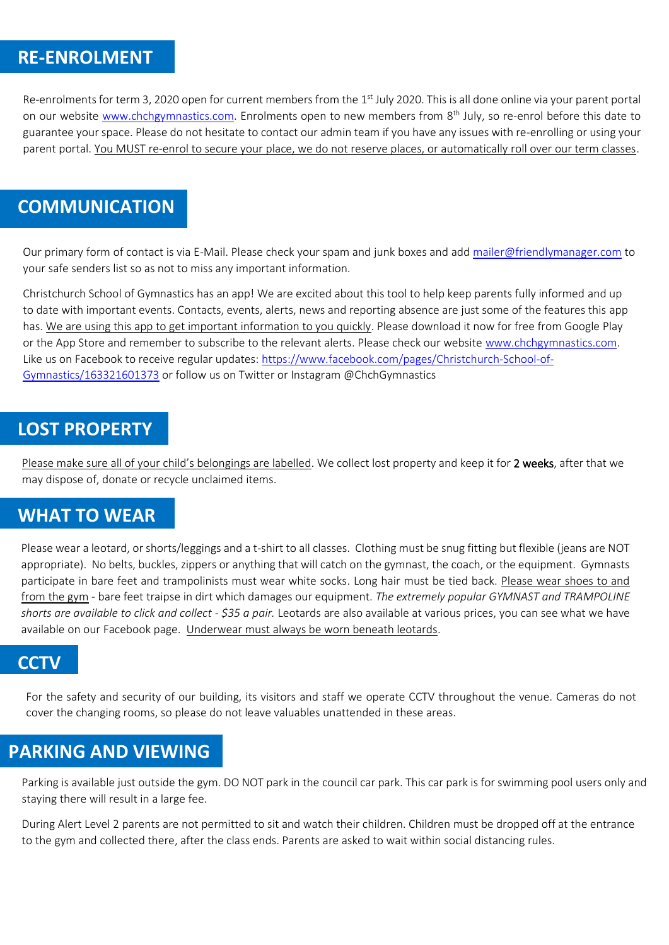### **RE-ENROLMENT**

Re-enrolments for term 3, 2020 open for current members from the 1<sup>st</sup> July 2020. This is all done online via your parent portal on our website <u>www.chchgymnastics.com</u>. Enrolments open to new members from 8<sup>th</sup> July, so re-enrol before this date to guarantee your space. Please do not hesitate to contact our admin team if you have any issues with re-enrolling or using your parent portal. You MUST re-enrol to secure your place, we do not reserve places, or automatically roll over our term classes.

### **COMMUNICATION**

Our primary form of contact is via E-Mail. Please check your spam and junk boxes and add [mailer@friendlymanager.com](mailto:mailer@friendlymanager.com) to your safe senders list so as not to miss any important information.

Christchurch School of Gymnastics has an app! We are excited about this tool to help keep parents fully informed and up to date with important events. Contacts, events, alerts, news and reporting absence are just some of the features this app has. We are using this app to get important information to you quickly. Please download it now for free from Google Play or the App Store and remember to subscribe to the relevant alerts. Please check our website [www.chchgymnastics.com.](http://www.chchgymnastics.com/)  Like us on Facebook to receive regular updates: [https://www.facebook.com/pages/Christchurch-School-of-](https://www.facebook.com/pages/Christchurch-School-of-Gymnastics/163321601373)[Gymnastics/163321601373](https://www.facebook.com/pages/Christchurch-School-of-Gymnastics/163321601373) or follow us on Twitter or Instagram @ChchGymnastics

#### **LOST PROPERTY**

Please make sure all of your child's belongings are labelled. We collect lost property and keep it for 2 weeks, after that we may dispose of, donate or recycle unclaimed items.

#### **WHAT TO WEAR**

Please wear a leotard, or shorts/leggings and a t-shirt to all classes. Clothing must be snug fitting but flexible (jeans are NOT appropriate). No belts, buckles, zippers or anything that will catch on the gymnast, the coach, or the equipment. Gymnasts participate in bare feet and trampolinists must wear white socks. Long hair must be tied back. Please wear shoes to and from the gym - bare feet traipse in dirt which damages our equipment. *The extremely popular GYMNAST and TRAMPOLINE shorts are available to click and collect - \$35 a pair.* Leotards are also available at various prices, you can see what we have available on our Facebook page. Underwear must always be worn beneath leotards.

#### **CCTV**

For the safety and security of our building, its visitors and staff we operate CCTV throughout the venue. Cameras do not cover the changing rooms, so please do not leave valuables unattended in these areas.

#### **PARKING AND VIEWING**

Parking is available just outside the gym. DO NOT park in the council car park. This car park is for swimming pool users only and staying there will result in a large fee.

During Alert Level 2 parents are not permitted to sit and watch their children. Children must be dropped off at the entrance to the gym and collected there, after the class ends. Parents are asked to wait within social distancing rules.